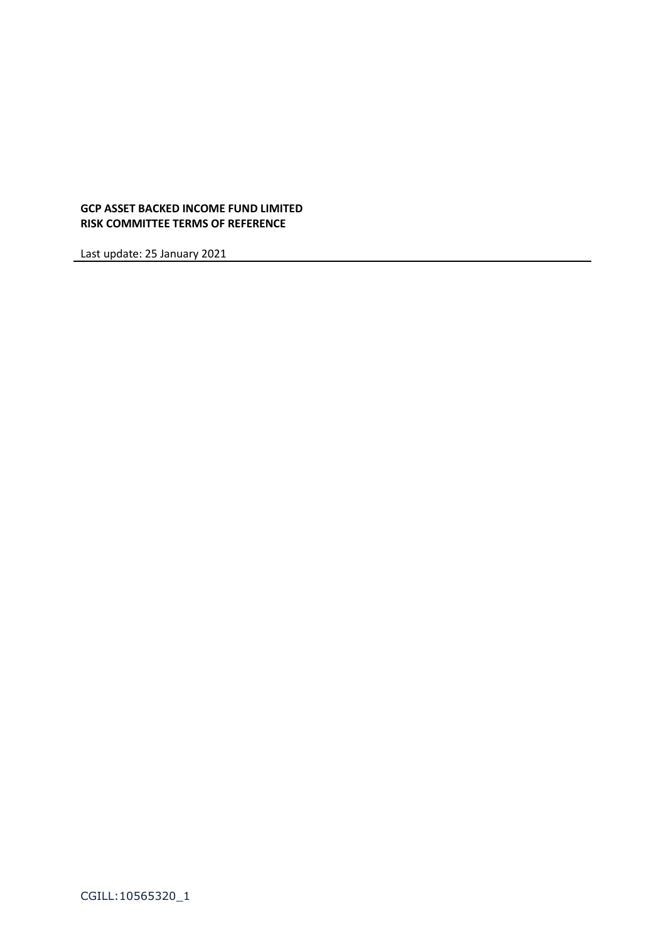# **GCP ASSET BACKED INCOME FUND LIMITED RISK COMMITTEE TERMS OF REFERENCE**

Last update: 25 January 2021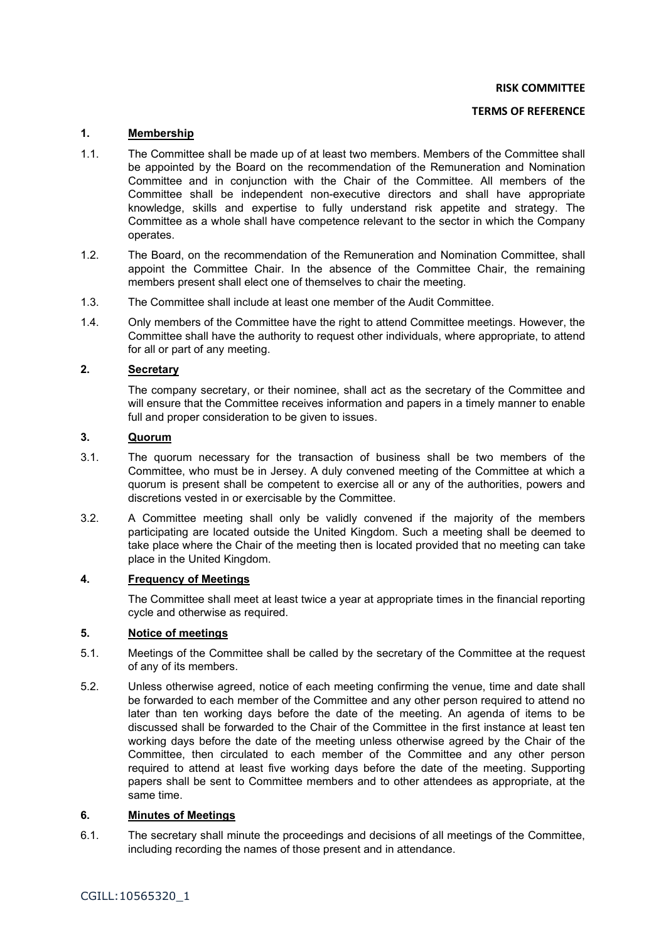**RISK COMMITTEE** 

#### **TERMS OF REFERENCE**

# **1. Membership**

- 1.1. The Committee shall be made up of at least two members. Members of the Committee shall be appointed by the Board on the recommendation of the Remuneration and Nomination Committee and in conjunction with the Chair of the Committee. All members of the Committee shall be independent non-executive directors and shall have appropriate knowledge, skills and expertise to fully understand risk appetite and strategy. The Committee as a whole shall have competence relevant to the sector in which the Company operates.
- 1.2. The Board, on the recommendation of the Remuneration and Nomination Committee, shall appoint the Committee Chair. In the absence of the Committee Chair, the remaining members present shall elect one of themselves to chair the meeting.
- 1.3. The Committee shall include at least one member of the Audit Committee.
- 1.4. Only members of the Committee have the right to attend Committee meetings. However, the Committee shall have the authority to request other individuals, where appropriate, to attend for all or part of any meeting.

# **2. Secretary**

The company secretary, or their nominee, shall act as the secretary of the Committee and will ensure that the Committee receives information and papers in a timely manner to enable full and proper consideration to be given to issues.

# **3. Quorum**

- 3.1. The quorum necessary for the transaction of business shall be two members of the Committee, who must be in Jersey. A duly convened meeting of the Committee at which a quorum is present shall be competent to exercise all or any of the authorities, powers and discretions vested in or exercisable by the Committee.
- 3.2. A Committee meeting shall only be validly convened if the majority of the members participating are located outside the United Kingdom. Such a meeting shall be deemed to take place where the Chair of the meeting then is located provided that no meeting can take place in the United Kingdom.

#### **4. Frequency of Meetings**

The Committee shall meet at least twice a year at appropriate times in the financial reporting cycle and otherwise as required.

## **5. Notice of meetings**

- 5.1. Meetings of the Committee shall be called by the secretary of the Committee at the request of any of its members.
- 5.2. Unless otherwise agreed, notice of each meeting confirming the venue, time and date shall be forwarded to each member of the Committee and any other person required to attend no later than ten working days before the date of the meeting. An agenda of items to be discussed shall be forwarded to the Chair of the Committee in the first instance at least ten working days before the date of the meeting unless otherwise agreed by the Chair of the Committee, then circulated to each member of the Committee and any other person required to attend at least five working days before the date of the meeting. Supporting papers shall be sent to Committee members and to other attendees as appropriate, at the same time.

# **6. Minutes of Meetings**

6.1. The secretary shall minute the proceedings and decisions of all meetings of the Committee, including recording the names of those present and in attendance.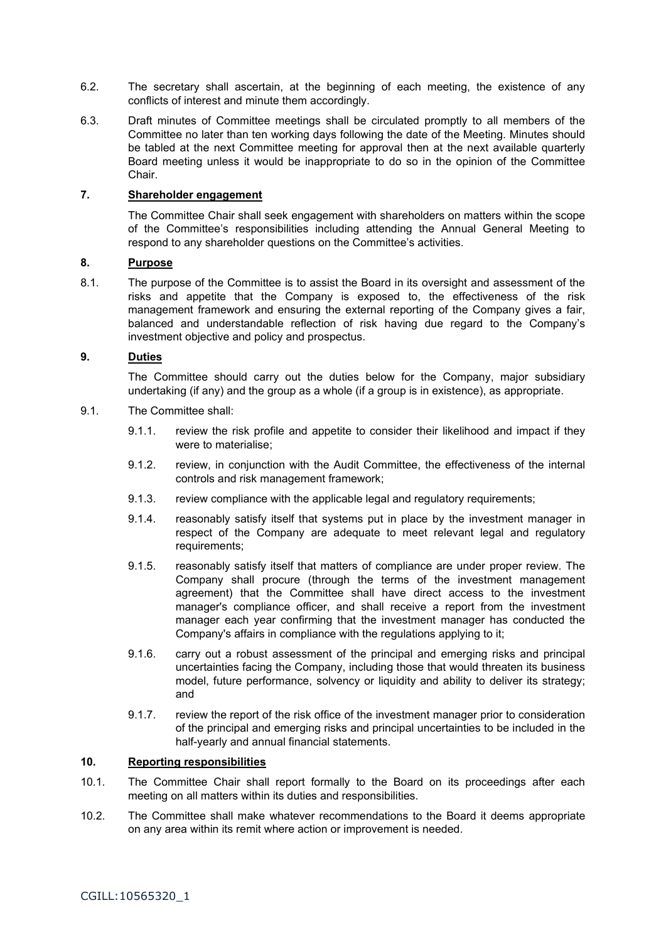- 6.2. The secretary shall ascertain, at the beginning of each meeting, the existence of any conflicts of interest and minute them accordingly.
- 6.3. Draft minutes of Committee meetings shall be circulated promptly to all members of the Committee no later than ten working days following the date of the Meeting. Minutes should be tabled at the next Committee meeting for approval then at the next available quarterly Board meeting unless it would be inappropriate to do so in the opinion of the Committee Chair.

### **7. Shareholder engagement**

The Committee Chair shall seek engagement with shareholders on matters within the scope of the Committee's responsibilities including attending the Annual General Meeting to respond to any shareholder questions on the Committee's activities.

# **8. Purpose**

8.1. The purpose of the Committee is to assist the Board in its oversight and assessment of the risks and appetite that the Company is exposed to, the effectiveness of the risk management framework and ensuring the external reporting of the Company gives a fair, balanced and understandable reflection of risk having due regard to the Company's investment objective and policy and prospectus.

## **9. Duties**

The Committee should carry out the duties below for the Company, major subsidiary undertaking (if any) and the group as a whole (if a group is in existence), as appropriate.

- 9.1. The Committee shall:
	- 9.1.1. review the risk profile and appetite to consider their likelihood and impact if they were to materialise;
	- 9.1.2. review, in conjunction with the Audit Committee, the effectiveness of the internal controls and risk management framework;
	- 9.1.3. review compliance with the applicable legal and regulatory requirements;
	- 9.1.4. reasonably satisfy itself that systems put in place by the investment manager in respect of the Company are adequate to meet relevant legal and regulatory requirements:
	- 9.1.5. reasonably satisfy itself that matters of compliance are under proper review. The Company shall procure (through the terms of the investment management agreement) that the Committee shall have direct access to the investment manager's compliance officer, and shall receive a report from the investment manager each year confirming that the investment manager has conducted the Company's affairs in compliance with the regulations applying to it;
	- 9.1.6. carry out a robust assessment of the principal and emerging risks and principal uncertainties facing the Company, including those that would threaten its business model, future performance, solvency or liquidity and ability to deliver its strategy; and
	- 9.1.7. review the report of the risk office of the investment manager prior to consideration of the principal and emerging risks and principal uncertainties to be included in the half-yearly and annual financial statements.

# **10. Reporting responsibilities**

- 10.1. The Committee Chair shall report formally to the Board on its proceedings after each meeting on all matters within its duties and responsibilities.
- 10.2. The Committee shall make whatever recommendations to the Board it deems appropriate on any area within its remit where action or improvement is needed.